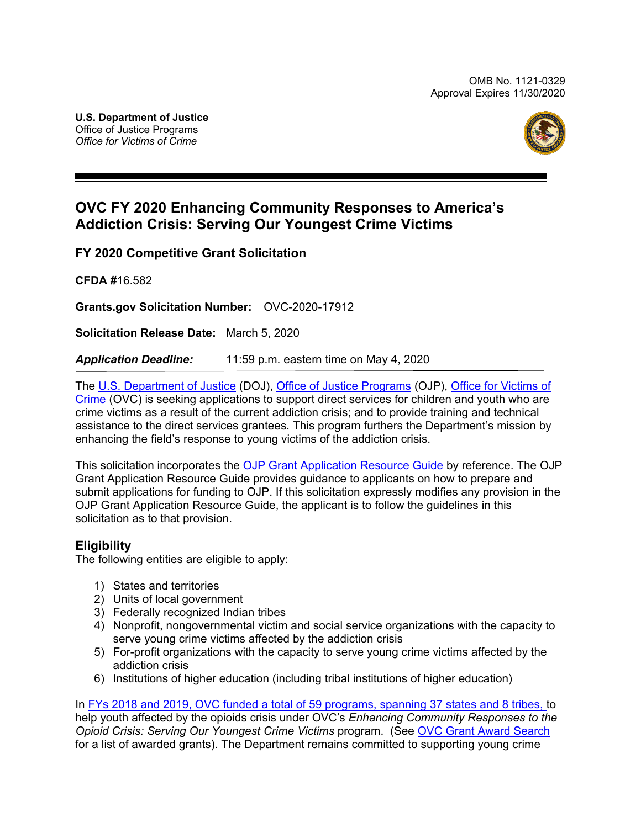

# **OVC FY 2020 Enhancing Community Responses to America's Addiction Crisis: Serving Our Youngest Crime Victims**

**FY 2020 Competitive Grant Solicitation**

**CFDA #**16.582

**Grants.gov Solicitation Number:** OVC-2020-17912

**Solicitation Release Date:** March 5, 2020

*Application Deadline:* 11:59 p.m. eastern time on May 4, 2020

The [U.S. Department of Justice](https://www.usdoj.gov/) (DOJ), Office [of Justice Programs](https://www.ojp.gov/) (OJP), [Office for Victims of](http://www.ovc.gov/)  [Crime](http://www.ovc.gov/) (OVC) is seeking applications to support direct services for children and youth who are crime victims as a result of the current addiction crisis; and to provide training and technical assistance to the direct services grantees*.* This program furthers the Department's mission by enhancing the field's response to young victims of the addiction crisis.

This solicitation incorporates the [OJP Grant Application Resource Guide](https://www.ojp.gov/funding/Apply/Resources/Grant-App-Resource-Guide.htm) by reference. The OJP Grant Application Resource Guide provides guidance to applicants on how to prepare and submit applications for funding to OJP. If this solicitation expressly modifies any provision in the OJP Grant Application Resource Guide, the applicant is to follow the guidelines in this solicitation as to that provision.

# **Eligibility**

The following entities are eligible to apply:

- 1) States and territories
- 2) Units of local government
- 3) Federally recognized Indian tribes
- 4) Nonprofit, nongovernmental victim and social service organizations with the capacity to serve young crime victims affected by the addiction crisis
- 5) For-profit organizations with the capacity to serve young crime victims affected by the addiction crisis
- 6) Institutions of higher education (including tribal institutions of higher education)

In [FYs 2018 and 2019, OVC funded a total of 59 programs, spanning 37 states and 8 tribes, t](https://www.justice.gov/opa/press-release/file/1097546/download?utm_medium=email&utm_source=govdelivery)o help youth affected by the opioids crisis under OVC's *Enhancing Community Responses to the Opioid Crisis: Serving Our Youngest Crime Victims* program. (See [OVC Grant Award Search](https://www.ovc.gov/grants/grant_award_search.html) for a list of awarded grants). The Department remains committed to supporting young crime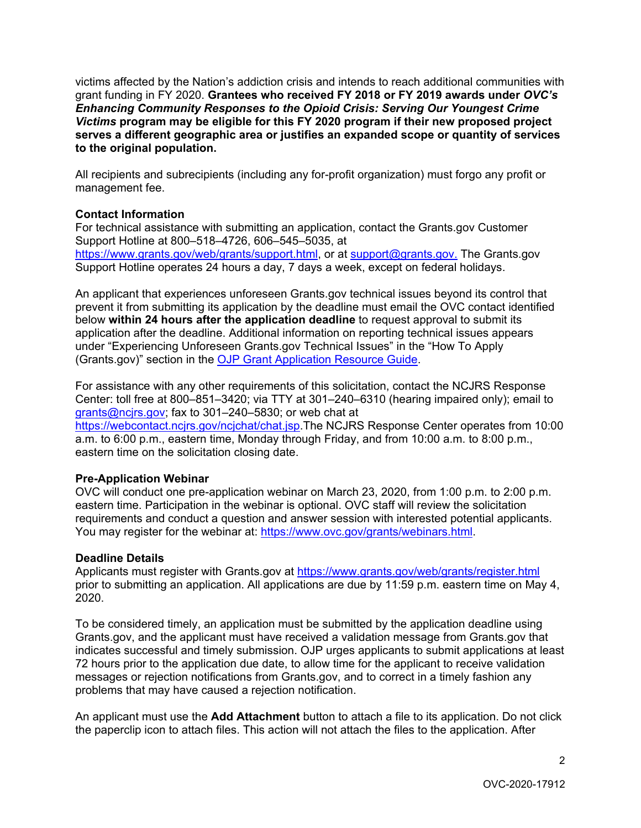victims affected by the Nation's addiction crisis and intends to reach additional communities with grant funding in FY 2020. **Grantees who received FY 2018 or FY 2019 awards under** *OVC's Enhancing Community Responses to the Opioid Crisis: Serving Our Youngest Crime Victims* **program may be eligible for this FY 2020 program if their new proposed project serves a different geographic area or justifies an expanded scope or quantity of services to the original population.**

All recipients and subrecipients (including any for-profit organization) must forgo any profit or management fee.

# **Contact Information**

For technical assistance with submitting an application, contact the Grants.gov Customer Support Hotline at 800–518–4726, 606–545–5035, at [https://www.grants.gov/web/grants/support.html,](https://www.grants.gov/web/grants/support.html) or at [support@grants.gov.](mailto:support@grants.gov) The Grants.gov Support Hotline operates 24 hours a day, 7 days a week, except on federal holidays.

An applicant that experiences unforeseen Grants.gov technical issues beyond its control that prevent it from submitting its application by the deadline must email the OVC contact identified below **within 24 hours after the application deadline** to request approval to submit its application after the deadline. Additional information on reporting technical issues appears under "Experiencing Unforeseen Grants.gov Technical Issues" in the "How To Apply (Grants.gov)" section in the [OJP Grant Application Resource Guide.](https://www.ojp.gov/funding/Apply/Resources/Grant-App-Resource-Guide.htm#howToApply)

For assistance with any other requirements of this solicitation, contact the NCJRS Response Center: toll free at 800–851–3420; via TTY at 301–240–6310 (hearing impaired only); email to grants@ncjrs.gov; fax to 301–240–5830; or web chat at

[https://webcontact.ncjrs.gov/ncjchat/chat.jsp.](https://webcontact.ncjrs.gov/ncjchat/chat.jsp)The NCJRS Response Center operates from 10:00 a.m. to 6:00 p.m., eastern time, Monday through Friday, and from 10:00 a.m. to 8:00 p.m., eastern time on the solicitation closing date.

# **Pre-Application Webinar**

OVC will conduct one pre-application webinar on March 23, 2020, from 1:00 p.m. to 2:00 p.m. eastern time. Participation in the webinar is optional. OVC staff will review the solicitation requirements and conduct a question and answer session with interested potential applicants. You may register for the webinar at: https://www.ovc.gov/grants/webinars.html.

# **Deadline Details**

Applicants must register with Grants.gov at<https://www.grants.gov/web/grants/register.html> prior to submitting an application. All applications are due by 11:59 p.m. eastern time on May 4, 2020.

To be considered timely, an application must be submitted by the application deadline using Grants.gov, and the applicant must have received a validation message from Grants.gov that indicates successful and timely submission. OJP urges applicants to submit applications at least 72 hours prior to the application due date, to allow time for the applicant to receive validation messages or rejection notifications from Grants.gov, and to correct in a timely fashion any problems that may have caused a rejection notification.

An applicant must use the **Add Attachment** button to attach a file to its application. Do not click the paperclip icon to attach files. This action will not attach the files to the application. After

 $\mathfrak{p}$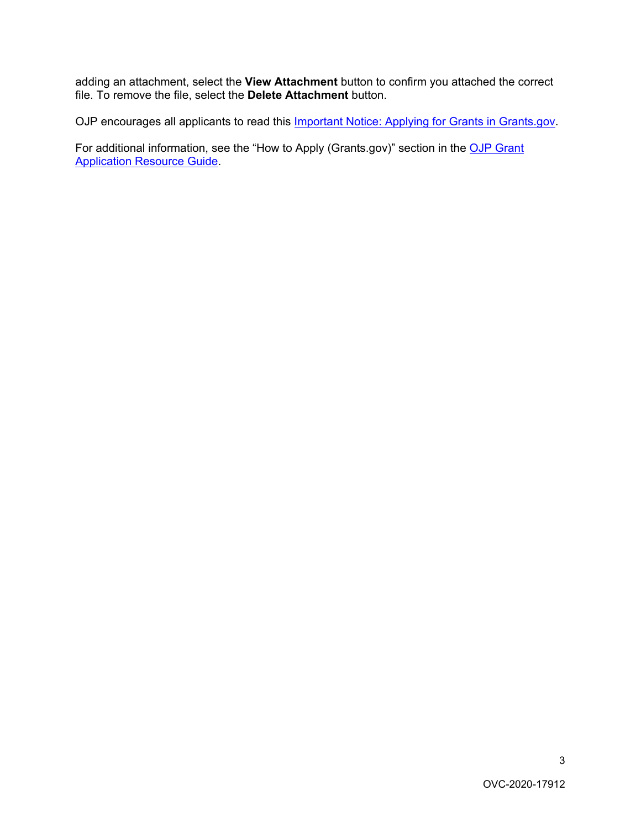adding an attachment, select the **View Attachment** button to confirm you attached the correct file. To remove the file, select the **Delete Attachment** button.

OJP encourages all applicants to read this [Important Notice: Applying for Grants in Grants.gov.](https://ojp.gov/funding/Apply/Grants-govInfo.htm)

For additional information, see the "How to Apply (Grants.gov)" section in the OJP Grant [Application Resource Guide.](https://www.ojp.gov/funding/Apply/Resources/Grant-App-Resource-Guide.htm#howToApply)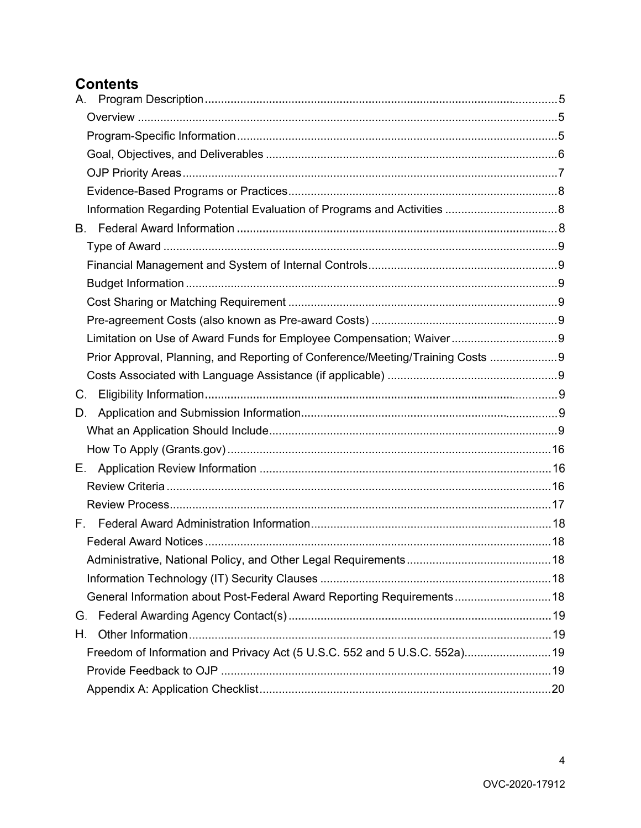# **[Contents](#page-4-0)**

| Limitation on Use of Award Funds for Employee Compensation; Waiver 9           |  |
|--------------------------------------------------------------------------------|--|
| Prior Approval, Planning, and Reporting of Conference/Meeting/Training Costs 9 |  |
|                                                                                |  |
| C.                                                                             |  |
| D.                                                                             |  |
|                                                                                |  |
|                                                                                |  |
| Е.                                                                             |  |
|                                                                                |  |
|                                                                                |  |
|                                                                                |  |
|                                                                                |  |
|                                                                                |  |
|                                                                                |  |
| General Information about Post-Federal Award Reporting Requirements 18         |  |
| G.                                                                             |  |
| Η.                                                                             |  |
| Freedom of Information and Privacy Act (5 U.S.C. 552 and 5 U.S.C. 552a) 19     |  |
|                                                                                |  |
|                                                                                |  |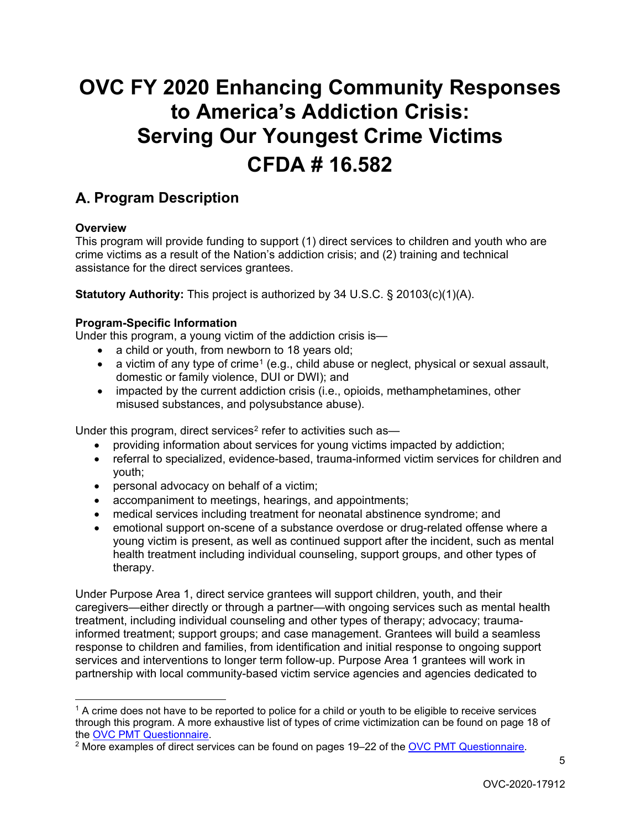# **OVC FY 2020 Enhancing Community Responses to America's Addiction Crisis: Serving Our Youngest Crime Victims CFDA # 16.582**

# <span id="page-4-0"></span>A. **Program Description**

# <span id="page-4-1"></span>**Overview**

This program will provide funding to support (1) direct services to children and youth who are crime victims as a result of the Nation's addiction crisis; and (2) training and technical assistance for the direct services grantees.

**Statutory Authority:** This project is authorized by 34 U.S.C. § 20103(c)(1)(A).

# <span id="page-4-2"></span>**Program-Specific Information**

Under this program, a young victim of the addiction crisis is—

- a child or youth, from newborn to 18 years old;
- a victim of any type of crime<sup>[1](#page-4-3)</sup> (e.g., child abuse or neglect, physical or sexual assault, domestic or family violence, DUI or DWI); and
- impacted by the current addiction crisis (i.e., opioids, methamphetamines, other misused substances, and polysubstance abuse).

Under this program, direct services<sup>[2](#page-4-4)</sup> refer to activities such as-

- providing information about services for young victims impacted by addiction;
- referral to specialized, evidence-based, trauma-informed victim services for children and youth;
- personal advocacy on behalf of a victim;
- accompaniment to meetings, hearings, and appointments;
- medical services including treatment for neonatal abstinence syndrome; and
- emotional support on-scene of a substance overdose or drug-related offense where a young victim is present, as well as continued support after the incident, such as mental health treatment including individual counseling, support groups, and other types of therapy.

Under Purpose Area 1, direct service grantees will support children, youth, and their caregivers—either directly or through a partner—with ongoing services such as mental health treatment, including individual counseling and other types of therapy; advocacy; traumainformed treatment; support groups; and case management. Grantees will build a seamless response to children and families, from identification and initial response to ongoing support services and interventions to longer term follow-up. Purpose Area 1 grantees will work in partnership with local community-based victim service agencies and agencies dedicated to

<span id="page-4-3"></span> $\overline{a}$  $1$  A crime does not have to be reported to police for a child or youth to be eligible to receive services through this program. A more exhaustive list of types of crime victimization can be found on page 18 of the <u>OVC PMT Questionnaire</u>.<br><sup>2</sup> More examples of direct services can be found on pages 19–22 of the [OVC PMT Questionnaire.](https://www.ovc.gov/grants/pdftxt/TVS-questionnaire.pdf)

<span id="page-4-4"></span>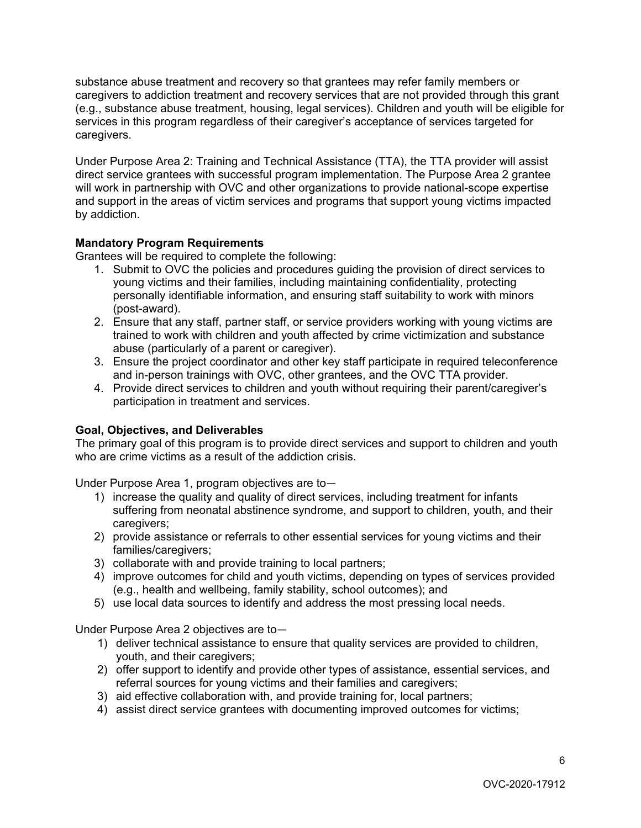substance abuse treatment and recovery so that grantees may refer family members or caregivers to addiction treatment and recovery services that are not provided through this grant (e.g., substance abuse treatment, housing, legal services). Children and youth will be eligible for services in this program regardless of their caregiver's acceptance of services targeted for caregivers.

Under Purpose Area 2: Training and Technical Assistance (TTA), the TTA provider will assist direct service grantees with successful program implementation. The Purpose Area 2 grantee will work in partnership with OVC and other organizations to provide national-scope expertise and support in the areas of victim services and programs that support young victims impacted by addiction.

# **Mandatory Program Requirements**

Grantees will be required to complete the following:

- 1. Submit to OVC the policies and procedures guiding the provision of direct services to young victims and their families, including maintaining confidentiality, protecting personally identifiable information, and ensuring staff suitability to work with minors (post-award).
- 2. Ensure that any staff, partner staff, or service providers working with young victims are trained to work with children and youth affected by crime victimization and substance abuse (particularly of a parent or caregiver).
- 3. Ensure the project coordinator and other key staff participate in required teleconference and in-person trainings with OVC, other grantees, and the OVC TTA provider.
- 4. Provide direct services to children and youth without requiring their parent/caregiver's participation in treatment and services.

# <span id="page-5-0"></span>**Goal, Objectives, and Deliverables**

The primary goal of this program is to provide direct services and support to children and youth who are crime victims as a result of the addiction crisis.

Under Purpose Area 1, program objectives are to—

- 1) increase the quality and quality of direct services, including treatment for infants suffering from neonatal abstinence syndrome, and support to children, youth, and their caregivers;
- 2) provide assistance or referrals to other essential services for young victims and their families/caregivers;
- 3) collaborate with and provide training to local partners;
- 4) improve outcomes for child and youth victims, depending on types of services provided (e.g., health and wellbeing, family stability, school outcomes); and
- 5) use local data sources to identify and address the most pressing local needs.

Under Purpose Area 2 objectives are to—

- 1) deliver technical assistance to ensure that quality services are provided to children, youth, and their caregivers;
- 2) offer support to identify and provide other types of assistance, essential services, and referral sources for young victims and their families and caregivers;
- 3) aid effective collaboration with, and provide training for, local partners;
- 4) assist direct service grantees with documenting improved outcomes for victims;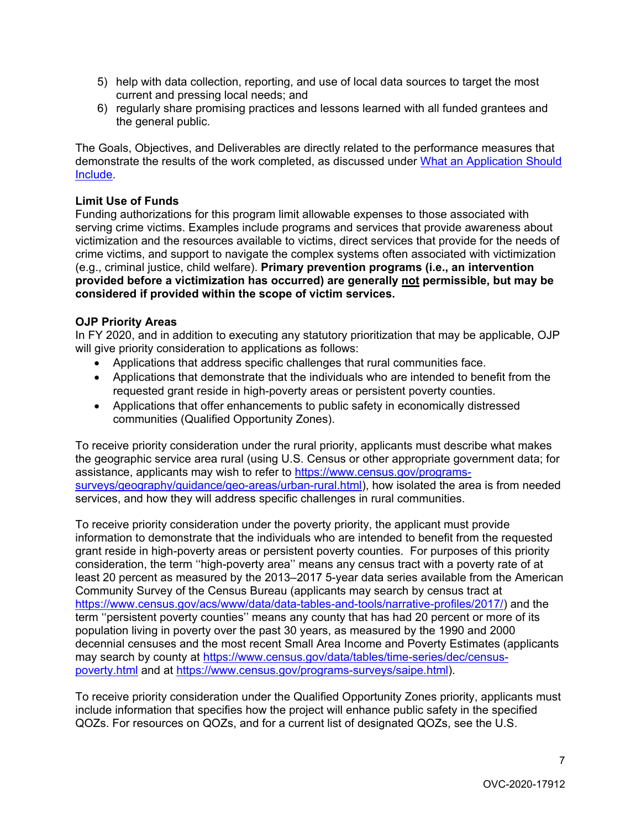- 5) help with data collection, reporting, and use of local data sources to target the most current and pressing local needs; and
- 6) regularly share promising practices and lessons learned with all funded grantees and the general public.

The Goals, Objectives, and Deliverables are directly related to the performance measures that demonstrate the results of the work completed, as discussed under [What an Application Should](#page-8-8)  [Include.](#page-8-8)

#### **Limit Use of Funds**

Funding authorizations for this program limit allowable expenses to those associated with serving crime victims. Examples include programs and services that provide awareness about victimization and the resources available to victims, direct services that provide for the needs of crime victims, and support to navigate the complex systems often associated with victimization (e.g., criminal justice, child welfare). **Primary prevention programs (i.e., an intervention provided before a victimization has occurred) are generally not permissible, but may be considered if provided within the scope of victim services.**

#### <span id="page-6-0"></span>**OJP Priority Areas**

In FY 2020, and in addition to executing any statutory prioritization that may be applicable, OJP will give priority consideration to applications as follows:

- Applications that address specific challenges that rural communities face.
- Applications that demonstrate that the individuals who are intended to benefit from the requested grant reside in high-poverty areas or persistent poverty counties.
- Applications that offer enhancements to public safety in economically distressed communities (Qualified Opportunity Zones).

To receive priority consideration under the rural priority, applicants must describe what makes the geographic service area rural (using U.S. Census or other appropriate government data; for assistance, applicants may wish to refer to [https://www.census.gov/programs](https://www.census.gov/programs-surveys/geography/guidance/geo-areas/urban-rural.html)[surveys/geography/guidance/geo-areas/urban-rural.html\)](https://www.census.gov/programs-surveys/geography/guidance/geo-areas/urban-rural.html), how isolated the area is from needed services, and how they will address specific challenges in rural communities.

To receive priority consideration under the poverty priority, the applicant must provide information to demonstrate that the individuals who are intended to benefit from the requested grant reside in high-poverty areas or persistent poverty counties. For purposes of this priority consideration, the term ''high-poverty area'' means any census tract with a poverty rate of at least 20 percent as measured by the 2013–2017 5-year data series available from the American Community Survey of the Census Bureau (applicants may search by census tract at [https://www.census.gov/acs/www/data/data-tables-and-tools/narrative-profiles/2017/\)](https://www.census.gov/acs/www/data/data-tables-and-tools/narrative-profiles/2017/) and the term ''persistent poverty counties'' means any county that has had 20 percent or more of its population living in poverty over the past 30 years, as measured by the 1990 and 2000 decennial censuses and the most recent Small Area Income and Poverty Estimates (applicants may search by county at [https://www.census.gov/data/tables/time-series/dec/census](https://www.census.gov/data/tables/time-series/dec/census-poverty.html)[poverty.html](https://www.census.gov/data/tables/time-series/dec/census-poverty.html) and at [https://www.census.gov/programs-surveys/saipe.html\)](https://www.census.gov/programs-surveys/saipe.html).

To receive priority consideration under the Qualified Opportunity Zones priority, applicants must include information that specifies how the project will enhance public safety in the specified QOZs. For resources on QOZs, and for a current list of designated QOZs, see the U.S.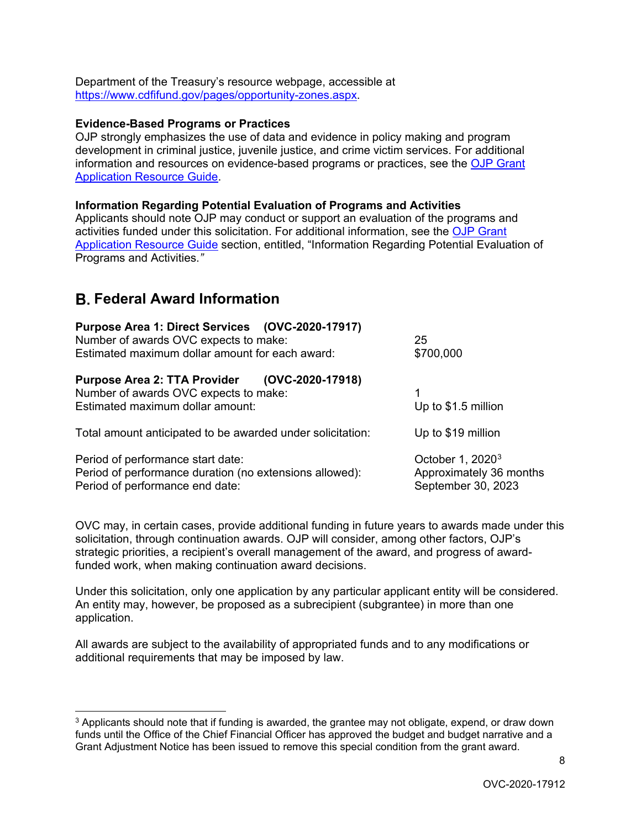Department of the Treasury's resource webpage, accessible at [https://www.cdfifund.gov/pages/opportunity-zones.aspx.](https://www.cdfifund.gov/pages/opportunity-zones.aspx)

#### <span id="page-7-0"></span>**Evidence-Based Programs or Practices**

OJP strongly emphasizes the use of data and evidence in policy making and program development in criminal justice, juvenile justice, and crime victim services. For additional information and resources on evidence-based programs or practices, see the [OJP Grant](https://www.ojp.gov/funding/Apply/Resources/Grant-App-Resource-Guide.htm#evidenceBased)  [Application Resource Guide.](https://www.ojp.gov/funding/Apply/Resources/Grant-App-Resource-Guide.htm#evidenceBased)

#### <span id="page-7-1"></span>**Information Regarding Potential Evaluation of Programs and Activities**

Applicants should note OJP may conduct or support an evaluation of the programs and activities funded under this solicitation. For additional information, see the [OJP Grant](https://www.ojp.gov/funding/Apply/Resources/Grant-App-Resource-Guide.htm#potentialEvaluation)  [Application Resource Guide](https://www.ojp.gov/funding/Apply/Resources/Grant-App-Resource-Guide.htm#potentialEvaluation) section, entitled, "Information Regarding Potential Evaluation of Programs and Activities.*"* 

# B. **Federal Award Information**

| Purpose Area 1: Direct Services (OVC-2020-17917)<br>Number of awards OVC expects to make:<br>Estimated maximum dollar amount for each award: | 25<br>\$700,000                                                               |
|----------------------------------------------------------------------------------------------------------------------------------------------|-------------------------------------------------------------------------------|
| Purpose Area 2: TTA Provider (OVC-2020-17918)<br>Number of awards OVC expects to make:<br>Estimated maximum dollar amount:                   | 1<br>Up to \$1.5 million                                                      |
| Total amount anticipated to be awarded under solicitation:                                                                                   | Up to \$19 million                                                            |
| Period of performance start date:<br>Period of performance duration (no extensions allowed):<br>Period of performance end date:              | October 1, 2020 <sup>3</sup><br>Approximately 36 months<br>September 30, 2023 |

OVC may, in certain cases, provide additional funding in future years to awards made under this solicitation, through continuation awards. OJP will consider, among other factors, OJP's strategic priorities, a recipient's overall management of the award, and progress of awardfunded work, when making continuation award decisions.

Under this solicitation, only one application by any particular applicant entity will be considered. An entity may, however, be proposed as a subrecipient (subgrantee) in more than one application.

All awards are subject to the availability of appropriated funds and to any modifications or additional requirements that may be imposed by law.

<span id="page-7-2"></span> $3$  Applicants should note that if funding is awarded, the grantee may not obligate, expend, or draw down funds until the Office of the Chief Financial Officer has approved the budget and budget narrative and a Grant Adjustment Notice has been issued to remove this special condition from the grant award.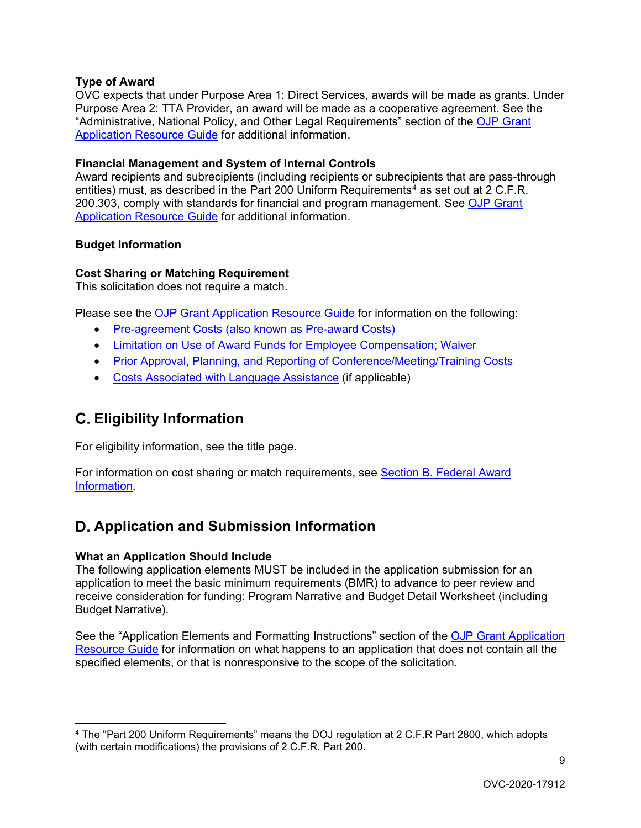# <span id="page-8-0"></span>**Type of Award**

OVC expects that under Purpose Area 1: Direct Services, awards will be made as grants. Under Purpose Area 2: TTA Provider, an award will be made as a cooperative agreement. See the "Administrative, National Policy, and Other Legal Requirements" section of the [OJP Grant](https://www.ojp.gov/funding/Apply/Resources/Grant-App-Resource-Guide.htm#otherLegalRequirements)  [Application Resource Guide](https://www.ojp.gov/funding/Apply/Resources/Grant-App-Resource-Guide.htm#otherLegalRequirements) for additional information.

# <span id="page-8-1"></span>**Financial Management and System of Internal Controls**

Award recipients and subrecipients (including recipients or subrecipients that are pass-through entities) must, as described in the Part 200 Uniform Requirements<sup>[4](#page-8-9)</sup> as set out at 2 C.F.R. 200.303, comply with standards for financial and program management. See [OJP Grant](https://www.ojp.gov/funding/Apply/Resources/Grant-App-Resource-Guide.htm#financialManagement)  [Application Resource Guide](https://www.ojp.gov/funding/Apply/Resources/Grant-App-Resource-Guide.htm#financialManagement) for additional information.

# <span id="page-8-2"></span>**Budget Information**

# <span id="page-8-3"></span>**Cost Sharing or Matching Requirement**

This solicitation does not require a match.

Please see the [OJP Grant Application Resource Guide](https://ojp.gov/funding/Apply/Resources/Grant-App-Resource-Guide.htm) for information on the following:

- <span id="page-8-4"></span>• [Pre-agreement Costs \(also known as Pre-award Costs\)](https://www.ojp.gov/funding/Apply/Resources/Grant-App-Resource-Guide.htm#pre-agreement)
- <span id="page-8-5"></span>• [Limitation on Use of Award Funds for Employee Compensation; Waiver](https://www.ojp.gov/funding/Apply/Resources/Grant-App-Resource-Guide.htm#UseOfAwardFunds)
- <span id="page-8-6"></span>• [Prior Approval, Planning, and Reporting of Conference/Meeting/Training Costs](https://www.ojp.gov/funding/Apply/Resources/Grant-App-Resource-Guide.htm#reportingCosts)
- <span id="page-8-7"></span>• [Costs Associated with Language Assistance](https://www.ojp.gov/funding/Apply/Resources/Grant-App-Resource-Guide.htm#languageAssistance) (if applicable)

# C. **Eligibility Information**

For eligibility information, see the title page.

For information on cost sharing or match requirements, see [Section B. Federal Award](#page-8-3)  [Information](#page-8-3)*.*

# D. **Application and Submission Information**

# <span id="page-8-8"></span>**What an Application Should Include**

 $\overline{a}$ 

The following application elements MUST be included in the application submission for an application to meet the basic minimum requirements (BMR) to advance to peer review and receive consideration for funding: Program Narrative and Budget Detail Worksheet (including Budget Narrative).

See the "Application Elements and Formatting Instructions" section of the [OJP Grant Application](https://www.ojp.gov/funding/Apply/Resources/Grant-App-Resource-Guide.htm#formatInstructions)  [Resource Guide](https://www.ojp.gov/funding/Apply/Resources/Grant-App-Resource-Guide.htm#formatInstructions) for information on what happens to an application that does not contain all the specified elements, or that is nonresponsive to the scope of the solicitation*.* 

<span id="page-8-9"></span><sup>4</sup> The "Part 200 Uniform Requirements" means the DOJ regulation at 2 C.F.R Part 2800, which adopts (with certain modifications) the provisions of 2 C.F.R. Part 200.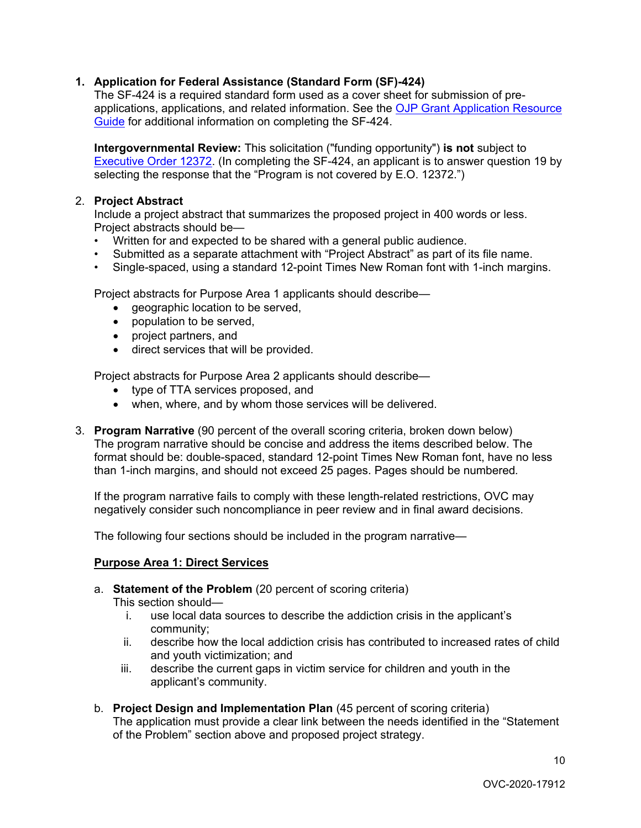# **1. Application for Federal Assistance (Standard Form (SF)-424)**

The SF-424 is a required standard form used as a cover sheet for submission of preapplications, applications, and related information. See the OJP Grant Application Resource [Guide](https://www.ojp.gov/funding/Apply/Resources/Grant-App-Resource-Guide.htm#completeApplication) for additional information on completing the SF-424.

**Intergovernmental Review:** This solicitation ("funding opportunity") **is not** subject to [Executive Order 12372.](https://www.archives.gov/federal-register/codification/executive-order/12372.html) (In completing the SF-424, an applicant is to answer question 19 by selecting the response that the "Program is not covered by E.O. 12372.")

#### 2. **Project Abstract**

Include a project abstract that summarizes the proposed project in 400 words or less. Project abstracts should be—

- Written for and expected to be shared with a general public audience.
- Submitted as a separate attachment with "Project Abstract" as part of its file name.
- Single-spaced, using a standard 12-point Times New Roman font with 1-inch margins.

Project abstracts for Purpose Area 1 applicants should describe—

- geographic location to be served,
- population to be served,
- project partners, and
- direct services that will be provided.

Project abstracts for Purpose Area 2 applicants should describe—

- type of TTA services proposed, and
- when, where, and by whom those services will be delivered.
- 3. **Program Narrative** (90 percent of the overall scoring criteria, broken down below) The program narrative should be concise and address the items described below. The format should be: double-spaced, standard 12-point Times New Roman font, have no less than 1-inch margins, and should not exceed 25 pages. Pages should be numbered*.*

If the program narrative fails to comply with these length-related restrictions, OVC may negatively consider such noncompliance in peer review and in final award decisions.

The following four sections should be included in the program narrative—

# **Purpose Area 1: Direct Services**

a. **Statement of the Problem** (20 percent of scoring criteria)

This section should—

- i. use local data sources to describe the addiction crisis in the applicant's community;
- ii. describe how the local addiction crisis has contributed to increased rates of child and youth victimization; and
- iii. describe the current gaps in victim service for children and youth in the applicant's community.
- b. **Project Design and Implementation Plan** (45 percent of scoring criteria) The application must provide a clear link between the needs identified in the "Statement of the Problem" section above and proposed project strategy.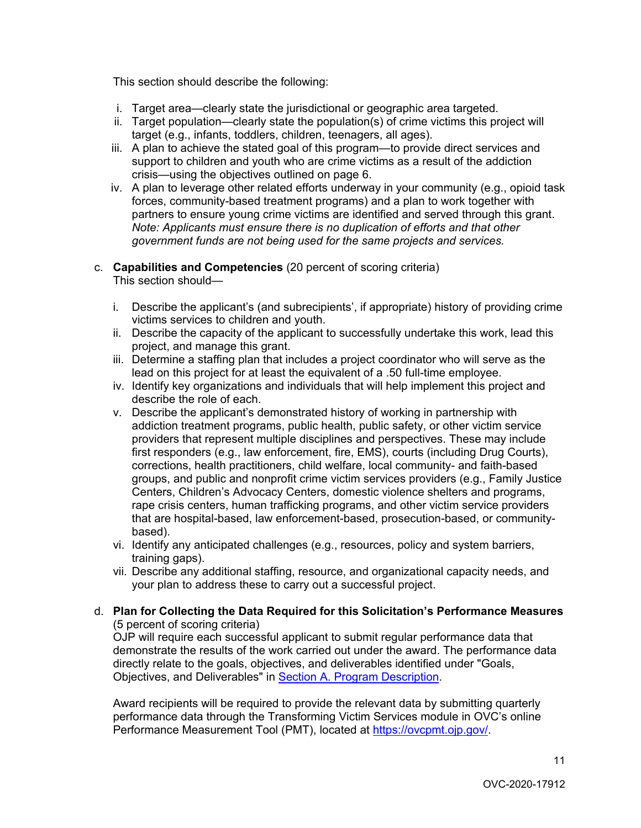This section should describe the following:

- i. Target area—clearly state the jurisdictional or geographic area targeted.
- ii. Target population—clearly state the population(s) of crime victims this project will target (e.g., infants, toddlers, children, teenagers, all ages).
- iii. A plan to achieve the stated goal of this program—to provide direct services and support to children and youth who are crime victims as a result of the addiction crisis—using the objectives outlined on page 6.
- iv. A plan to leverage other related efforts underway in your community (e.g., opioid task forces, community-based treatment programs) and a plan to work together with partners to ensure young crime victims are identified and served through this grant. *Note: Applicants must ensure there is no duplication of efforts and that other government funds are not being used for the same projects and services.*

#### c. **Capabilities and Competencies** (20 percent of scoring criteria) This section should—

- i. Describe the applicant's (and subrecipients', if appropriate) history of providing crime victims services to children and youth.
- ii. Describe the capacity of the applicant to successfully undertake this work, lead this project, and manage this grant.
- iii. Determine a staffing plan that includes a project coordinator who will serve as the lead on this project for at least the equivalent of a .50 full-time employee.
- iv. Identify key organizations and individuals that will help implement this project and describe the role of each.
- v. Describe the applicant's demonstrated history of working in partnership with addiction treatment programs, public health, public safety, or other victim service providers that represent multiple disciplines and perspectives. These may include first responders (e.g., law enforcement, fire, EMS), courts (including Drug Courts), corrections, health practitioners, child welfare, local community- and faith-based groups, and public and nonprofit crime victim services providers (e.g., Family Justice Centers, Children's Advocacy Centers, domestic violence shelters and programs, rape crisis centers, human trafficking programs, and other victim service providers that are hospital-based, law enforcement-based, prosecution-based, or communitybased).
- vi. Identify any anticipated challenges (e.g., resources, policy and system barriers, training gaps).
- vii. Describe any additional staffing, resource, and organizational capacity needs, and your plan to address these to carry out a successful project.

#### d. **Plan for Collecting the Data Required for this Solicitation's Performance Measures** (5 percent of scoring criteria)

OJP will require each successful applicant to submit regular performance data that demonstrate the results of the work carried out under the award. The performance data directly relate to the goals, objectives, and deliverables identified under "Goals, Objectives, and Deliverables" in [Section A. Program Description.](#page-5-0)

Award recipients will be required to provide the relevant data by submitting quarterly performance data through the Transforming Victim Services module in OVC's online Performance Measurement Tool (PMT), located at [https://ovcpmt.ojp.gov/.](https://ovcpmt.ojp.gov/)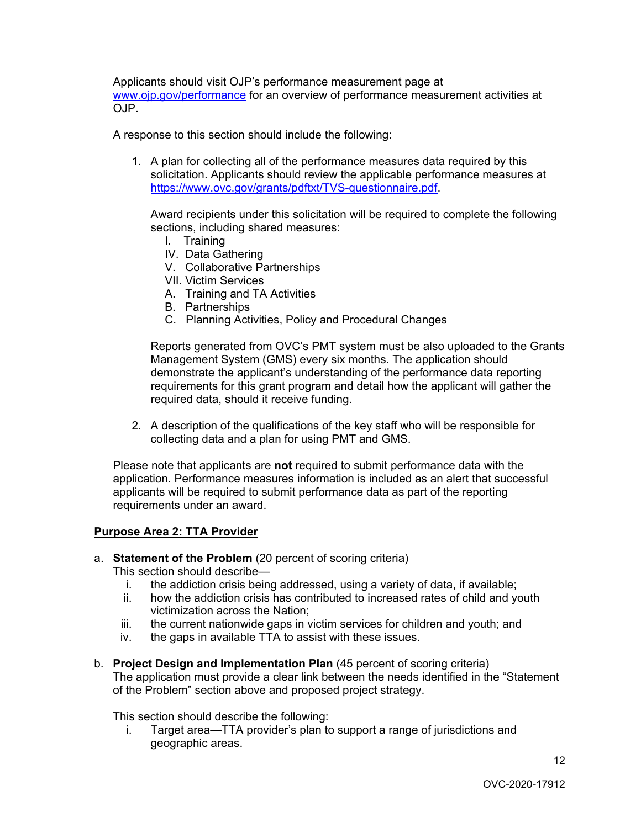Applicants should visit OJP's performance measurement page at [www.ojp.gov/performance](https://www.ojp.gov/performance) for an overview of performance measurement activities at OJP.

A response to this section should include the following:

1. A plan for collecting all of the performance measures data required by this solicitation. Applicants should review the applicable performance measures at [https://www.ovc.gov/grants/pdftxt/TVS-questionnaire.pdf.](https://www.ovc.gov/grants/pdftxt/TVS-questionnaire.pdf)

Award recipients under this solicitation will be required to complete the following sections, including shared measures:

- I. Training
- IV. Data Gathering
- V. Collaborative Partnerships
- VII. Victim Services
- A. Training and TA Activities
- B. Partnerships
- C. Planning Activities, Policy and Procedural Changes

Reports generated from OVC's PMT system must be also uploaded to the Grants Management System (GMS) every six months. The application should demonstrate the applicant's understanding of the performance data reporting requirements for this grant program and detail how the applicant will gather the required data, should it receive funding.

2. A description of the qualifications of the key staff who will be responsible for collecting data and a plan for using PMT and GMS.

Please note that applicants are **not** required to submit performance data with the application. Performance measures information is included as an alert that successful applicants will be required to submit performance data as part of the reporting requirements under an award.

# **Purpose Area 2: TTA Provider**

a. **Statement of the Problem** (20 percent of scoring criteria)

This section should describe—

- i. the addiction crisis being addressed, using a variety of data, if available;<br>ii bow the addiction crisis has contributed to increased rates of child and vo
- how the addiction crisis has contributed to increased rates of child and youth victimization across the Nation;
- iii. the current nationwide gaps in victim services for children and youth; and
- iv. the gaps in available TTA to assist with these issues.
- b. **Project Design and Implementation Plan** (45 percent of scoring criteria) The application must provide a clear link between the needs identified in the "Statement of the Problem" section above and proposed project strategy.

This section should describe the following:

i. Target area—TTA provider's plan to support a range of jurisdictions and geographic areas.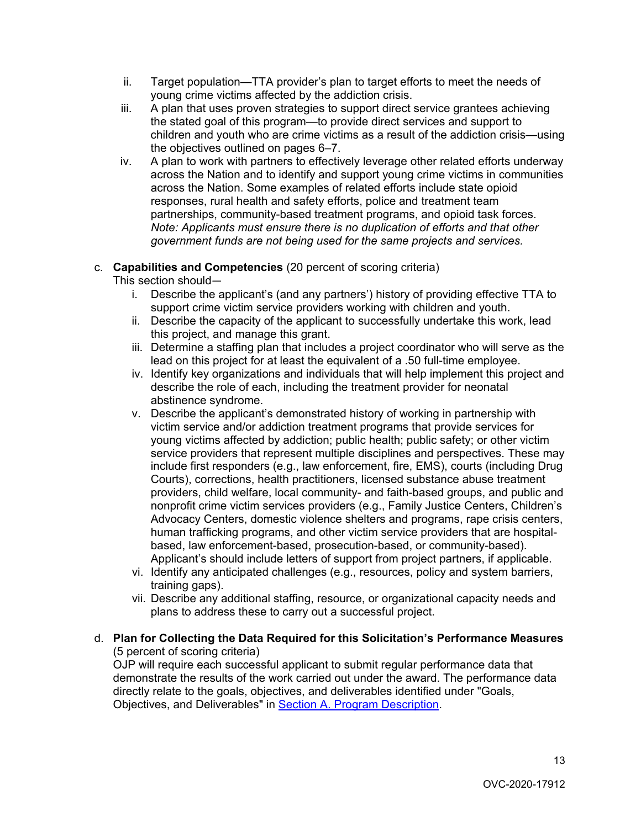- ii. Target population—TTA provider's plan to target efforts to meet the needs of young crime victims affected by the addiction crisis.
- iii. A plan that uses proven strategies to support direct service grantees achieving the stated goal of this program—to provide direct services and support to children and youth who are crime victims as a result of the addiction crisis—using the objectives outlined on pages 6–7.
- iv. A plan to work with partners to effectively leverage other related efforts underway across the Nation and to identify and support young crime victims in communities across the Nation. Some examples of related efforts include state opioid responses, rural health and safety efforts, police and treatment team partnerships, community-based treatment programs, and opioid task forces. *Note: Applicants must ensure there is no duplication of efforts and that other government funds are not being used for the same projects and services.*

# c. **Capabilities and Competencies** (20 percent of scoring criteria)

This section should—

- i. Describe the applicant's (and any partners') history of providing effective TTA to support crime victim service providers working with children and youth.
- ii. Describe the capacity of the applicant to successfully undertake this work, lead this project, and manage this grant.
- iii. Determine a staffing plan that includes a project coordinator who will serve as the lead on this project for at least the equivalent of a .50 full-time employee.
- iv. Identify key organizations and individuals that will help implement this project and describe the role of each, including the treatment provider for neonatal abstinence syndrome.
- v. Describe the applicant's demonstrated history of working in partnership with victim service and/or addiction treatment programs that provide services for young victims affected by addiction; public health; public safety; or other victim service providers that represent multiple disciplines and perspectives. These may include first responders (e.g., law enforcement, fire, EMS), courts (including Drug Courts), corrections, health practitioners, licensed substance abuse treatment providers, child welfare, local community- and faith-based groups, and public and nonprofit crime victim services providers (e.g., Family Justice Centers, Children's Advocacy Centers, domestic violence shelters and programs, rape crisis centers, human trafficking programs, and other victim service providers that are hospitalbased, law enforcement-based, prosecution-based, or community-based). Applicant's should include letters of support from project partners, if applicable.
- vi. Identify any anticipated challenges (e.g., resources, policy and system barriers, training gaps).
- vii. Describe any additional staffing, resource, or organizational capacity needs and plans to address these to carry out a successful project.

# d. **Plan for Collecting the Data Required for this Solicitation's Performance Measures** (5 percent of scoring criteria)

OJP will require each successful applicant to submit regular performance data that demonstrate the results of the work carried out under the award. The performance data directly relate to the goals, objectives, and deliverables identified under "Goals, Objectives, and Deliverables" in [Section A. Program Description.](#page-5-0)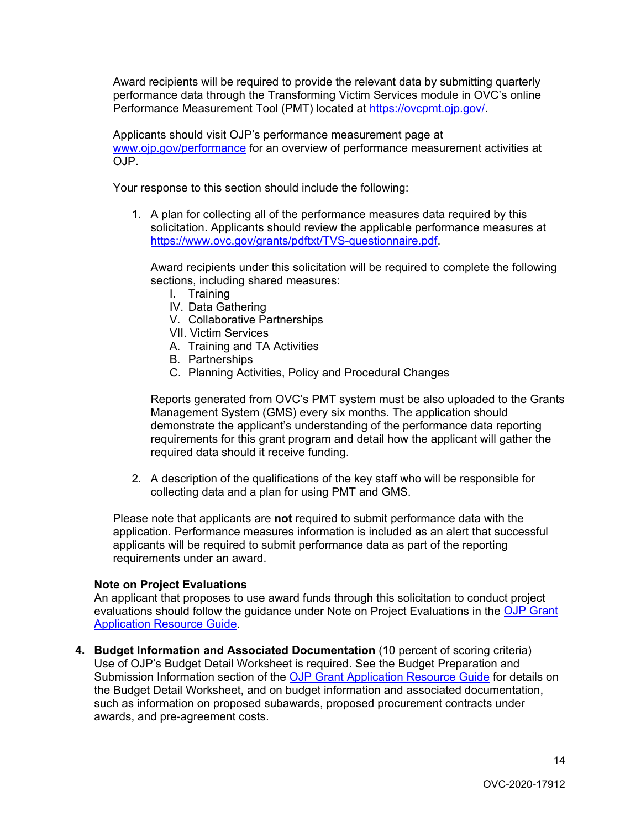Award recipients will be required to provide the relevant data by submitting quarterly performance data through the Transforming Victim Services module in OVC's online Performance Measurement Tool (PMT) located at [https://ovcpmt.ojp.gov/.](https://ovcpmt.ojp.gov/)

Applicants should visit OJP's performance measurement page at [www.ojp.gov/performance](https://www.ojp.gov/performance) for an overview of performance measurement activities at OJP.

Your response to this section should include the following:

1. A plan for collecting all of the performance measures data required by this solicitation. Applicants should review the applicable performance measures at [https://www.ovc.gov/grants/pdftxt/TVS-questionnaire.pdf.](https://www.ovc.gov/grants/pdftxt/TVS-questionnaire.pdf)

Award recipients under this solicitation will be required to complete the following sections, including shared measures:

- I. Training
- IV. Data Gathering
- V. Collaborative Partnerships
- VII. Victim Services
- A. Training and TA Activities
- B. Partnerships
- C. Planning Activities, Policy and Procedural Changes

Reports generated from OVC's PMT system must be also uploaded to the Grants Management System (GMS) every six months. The application should demonstrate the applicant's understanding of the performance data reporting requirements for this grant program and detail how the applicant will gather the required data should it receive funding.

2. A description of the qualifications of the key staff who will be responsible for collecting data and a plan for using PMT and GMS.

Please note that applicants are **not** required to submit performance data with the application. Performance measures information is included as an alert that successful applicants will be required to submit performance data as part of the reporting requirements under an award.

# **Note on Project Evaluations**

An applicant that proposes to use award funds through this solicitation to conduct project evaluations should follow the quidance under Note on Project Evaluations in the OJP Grant [Application Resource Guide.](https://www.ojp.gov/funding/Apply/Resources/Grant-App-Resource-Guide.htm#projectEvaluation)

**4. Budget Information and Associated Documentation** (10 percent of scoring criteria) Use of OJP's Budget Detail Worksheet is required. See the Budget Preparation and Submission Information section of the [OJP Grant Application Resource Guide](https://www.ojp.gov/funding/Apply/Resources/Grant-App-Resource-Guide.htm#budgetInfo) for details on the Budget Detail Worksheet, and on budget information and associated documentation, such as information on proposed subawards, proposed procurement contracts under awards, and pre-agreement costs.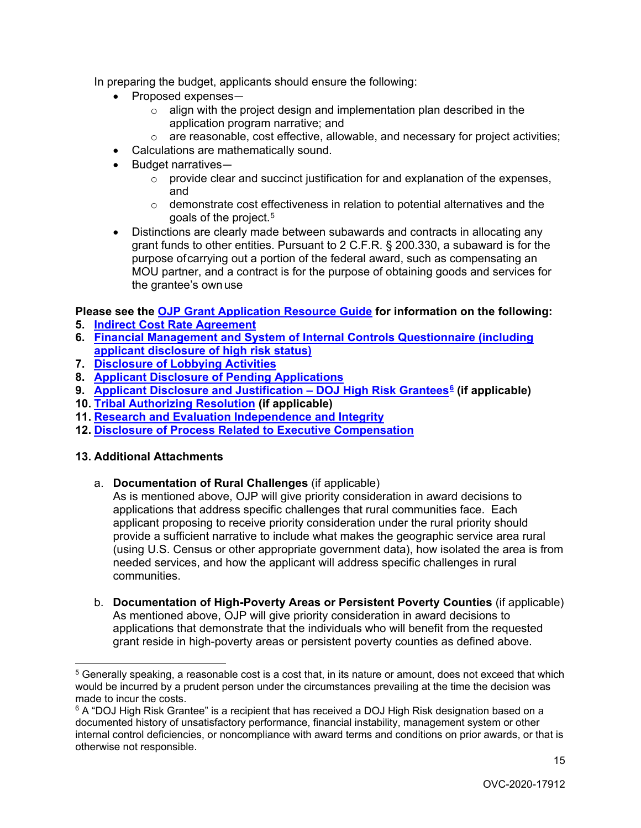In preparing the budget, applicants should ensure the following:

- Proposed expenses
	- o align with the project design and implementation plan described in the application program narrative; and
	- $\circ$  are reasonable, cost effective, allowable, and necessary for project activities;
- Calculations are mathematically sound.
- Budget narratives—
	- $\circ$  provide clear and succinct justification for and explanation of the expenses, and
	- $\circ$  demonstrate cost effectiveness in relation to potential alternatives and the goals of the project.[5](#page-14-0)
- Distinctions are clearly made between subawards and contracts in allocating any grant funds to other entities. Pursuant to 2 C.F.R. § 200.330, a subaward is for the purpose ofcarrying out a portion of the federal award, such as compensating an MOU partner, and a contract is for the purpose of obtaining goods and services for the grantee's own use

# **Please see the [OJP Grant Application Resource Guide](https://ojp.gov/funding/Apply/Resources/Grant-App-Resource-Guide.htm) for information on the following:**

- **5. [Indirect Cost Rate Agreement](https://www.ojp.gov/funding/Apply/Resources/Grant-App-Resource-Guide.htm#indirectCosts)**
- **6. [Financial Management and System of Internal Controls Questionnaire \(including](https://www.ojp.gov/funding/Apply/Resources/Grant-App-Resource-Guide.htm#internalControlsQuestionnaire)  [applicant disclosure of high risk status\)](https://www.ojp.gov/funding/Apply/Resources/Grant-App-Resource-Guide.htm#internalControlsQuestionnaire)**
- **7. [Disclosure of Lobbying Activities](https://www.ojp.gov/funding/Apply/Resources/Grant-App-Resource-Guide.htm#lobbyingActivity)**
- **8. [Applicant Disclosure of Pending Applications](https://www.ojp.gov/funding/Apply/Resources/Grant-App-Resource-Guide.htm#applicantDisclosure)**
- **9. [Applicant Disclosure and Justification DOJ High Risk Grantees](https://www.ojp.gov/funding/Apply/Resources/Grant-App-Resource-Guide.htm#applicantDisclosureHR)[6](#page-14-1) (if applicable)**
- **10. [Tribal Authorizing Resolution](https://www.ojp.gov/funding/Apply/Resources/Grant-App-Resource-Guide.htm#tribalAuthorizing) (if applicable)**
- **11. [Research and Evaluation Independence and Integrity](https://www.ojp.gov/funding/Apply/Resources/Grant-App-Resource-Guide.htm#researchAndEvaluation)**
- **12. [Disclosure of Process Related to Executive Compensation](https://www.ojp.gov/funding/Apply/Resources/Grant-App-Resource-Guide.htm#processDisclosure)**

# **13. Additional Attachments**

a. **Documentation of Rural Challenges** (if applicable)

As is mentioned above, OJP will give priority consideration in award decisions to applications that address specific challenges that rural communities face. Each applicant proposing to receive priority consideration under the rural priority should provide a sufficient narrative to include what makes the geographic service area rural (using U.S. Census or other appropriate government data), how isolated the area is from needed services, and how the applicant will address specific challenges in rural communities.

b. **Documentation of High-Poverty Areas or Persistent Poverty Counties** (if applicable) As mentioned above, OJP will give priority consideration in award decisions to applications that demonstrate that the individuals who will benefit from the requested grant reside in high-poverty areas or persistent poverty counties as defined above.

<span id="page-14-0"></span> $\overline{a}$ <sup>5</sup> Generally speaking, a reasonable cost is a cost that, in its nature or amount, does not exceed that which would be incurred by a prudent person under the circumstances prevailing at the time the decision was made to incur the costs.

<span id="page-14-1"></span> $6$  A "DOJ High Risk Grantee" is a recipient that has received a DOJ High Risk designation based on a documented history of unsatisfactory performance, financial instability, management system or other internal control deficiencies, or noncompliance with award terms and conditions on prior awards, or that is otherwise not responsible.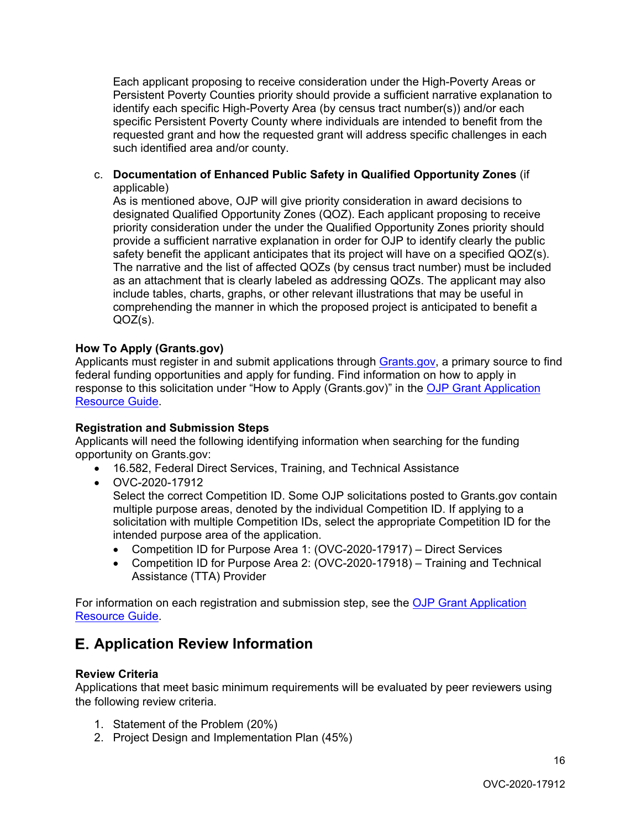Each applicant proposing to receive consideration under the High-Poverty Areas or Persistent Poverty Counties priority should provide a sufficient narrative explanation to identify each specific High-Poverty Area (by census tract number(s)) and/or each specific Persistent Poverty County where individuals are intended to benefit from the requested grant and how the requested grant will address specific challenges in each such identified area and/or county.

# c. **Documentation of Enhanced Public Safety in Qualified Opportunity Zones** (if applicable)

As is mentioned above, OJP will give priority consideration in award decisions to designated Qualified Opportunity Zones (QOZ). Each applicant proposing to receive priority consideration under the under the Qualified Opportunity Zones priority should provide a sufficient narrative explanation in order for OJP to identify clearly the public safety benefit the applicant anticipates that its project will have on a specified QOZ(s). The narrative and the list of affected QOZs (by census tract number) must be included as an attachment that is clearly labeled as addressing QOZs. The applicant may also include tables, charts, graphs, or other relevant illustrations that may be useful in comprehending the manner in which the proposed project is anticipated to benefit a QOZ(s).

# <span id="page-15-0"></span>**How To Apply (Grants.gov)**

Applicants must register in and submit applications through [Grants.gov,](https://www.grants.gov/) a primary source to find federal funding opportunities and apply for funding. Find information on how to apply in response to this solicitation under "How to Apply (Grants.gov)" in the [OJP Grant Application](https://www.ojp.gov/funding/Apply/Resources/Grant-App-Resource-Guide.htm#howToApply)  [Resource Guide.](https://www.ojp.gov/funding/Apply/Resources/Grant-App-Resource-Guide.htm#howToApply)

# **Registration and Submission Steps**

Applicants will need the following identifying information when searching for the funding opportunity on Grants.gov:

- 16.582, Federal Direct Services, Training, and Technical Assistance
- OVC-2020-17912

Select the correct Competition ID. Some OJP solicitations posted to Grants.gov contain multiple purpose areas, denoted by the individual Competition ID. If applying to a solicitation with multiple Competition IDs, select the appropriate Competition ID for the intended purpose area of the application.

- Competition ID for Purpose Area 1: (OVC-2020-17917) Direct Services
- Competition ID for Purpose Area 2: (OVC-2020-17918) Training and Technical Assistance (TTA) Provider

For information on each registration and submission step, see the OJP Grant Application [Resource Guide.](https://www.ojp.gov/funding/Apply/Resources/Grant-App-Resource-Guide.htm#submissionSteps)

# E. **Application Review Information**

# <span id="page-15-1"></span>**Review Criteria**

Applications that meet basic minimum requirements will be evaluated by peer reviewers using the following review criteria.

- 1. Statement of the Problem (20%)
- 2. Project Design and Implementation Plan (45%)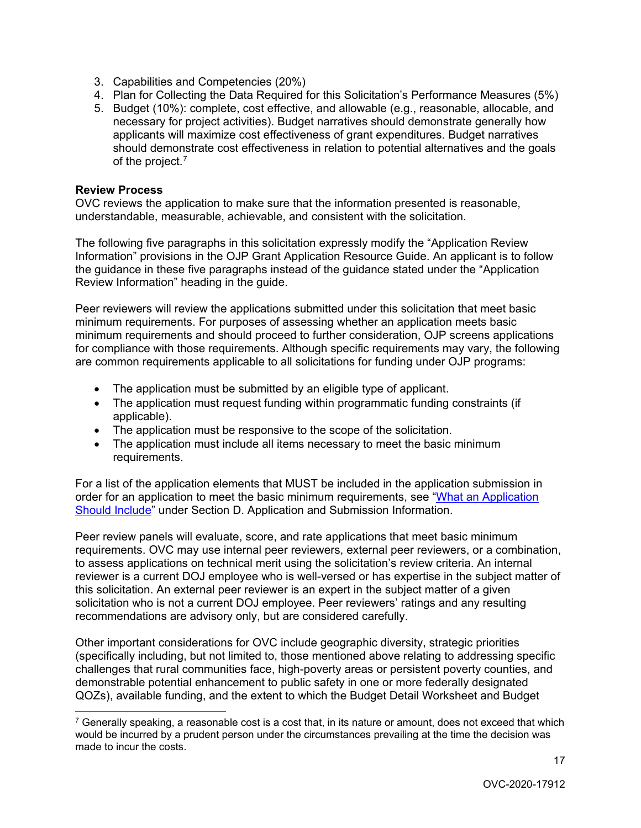- 3. Capabilities and Competencies (20%)
- 4. Plan for Collecting the Data Required for this Solicitation's Performance Measures (5%)
- 5. Budget (10%): complete, cost effective, and allowable (e.g., reasonable, allocable, and necessary for project activities). Budget narratives should demonstrate generally how applicants will maximize cost effectiveness of grant expenditures. Budget narratives should demonstrate cost effectiveness in relation to potential alternatives and the goals of the project.<sup>[7](#page-16-1)</sup>

# <span id="page-16-0"></span>**Review Process**

OVC reviews the application to make sure that the information presented is reasonable, understandable, measurable, achievable, and consistent with the solicitation.

The following five paragraphs in this solicitation expressly modify the "Application Review Information" provisions in the OJP Grant Application Resource Guide. An applicant is to follow the guidance in these five paragraphs instead of the guidance stated under the "Application Review Information" heading in the guide.

Peer reviewers will review the applications submitted under this solicitation that meet basic minimum requirements. For purposes of assessing whether an application meets basic minimum requirements and should proceed to further consideration, OJP screens applications for compliance with those requirements. Although specific requirements may vary, the following are common requirements applicable to all solicitations for funding under OJP programs:

- The application must be submitted by an eligible type of applicant.
- The application must request funding within programmatic funding constraints (if applicable).
- The application must be responsive to the scope of the solicitation.
- The application must include all items necessary to meet the basic minimum requirements.

For a list of the application elements that MUST be included in the application submission in order for an application to meet the basic minimum requirements, see ["What an Application](#page-8-8)  [Should Include"](#page-8-8) under Section D. Application and Submission Information.

Peer review panels will evaluate, score, and rate applications that meet basic minimum requirements. OVC may use internal peer reviewers, external peer reviewers, or a combination, to assess applications on technical merit using the solicitation's review criteria. An internal reviewer is a current DOJ employee who is well-versed or has expertise in the subject matter of this solicitation. An external peer reviewer is an expert in the subject matter of a given solicitation who is not a current DOJ employee. Peer reviewers' ratings and any resulting recommendations are advisory only, but are considered carefully.

Other important considerations for OVC include geographic diversity, strategic priorities (specifically including, but not limited to, those mentioned above relating to addressing specific challenges that rural communities face, high-poverty areas or persistent poverty counties, and demonstrable potential enhancement to public safety in one or more federally designated QOZs), available funding, and the extent to which the Budget Detail Worksheet and Budget

<span id="page-16-1"></span> $\overline{a}$  $7$  Generally speaking, a reasonable cost is a cost that, in its nature or amount, does not exceed that which would be incurred by a prudent person under the circumstances prevailing at the time the decision was made to incur the costs.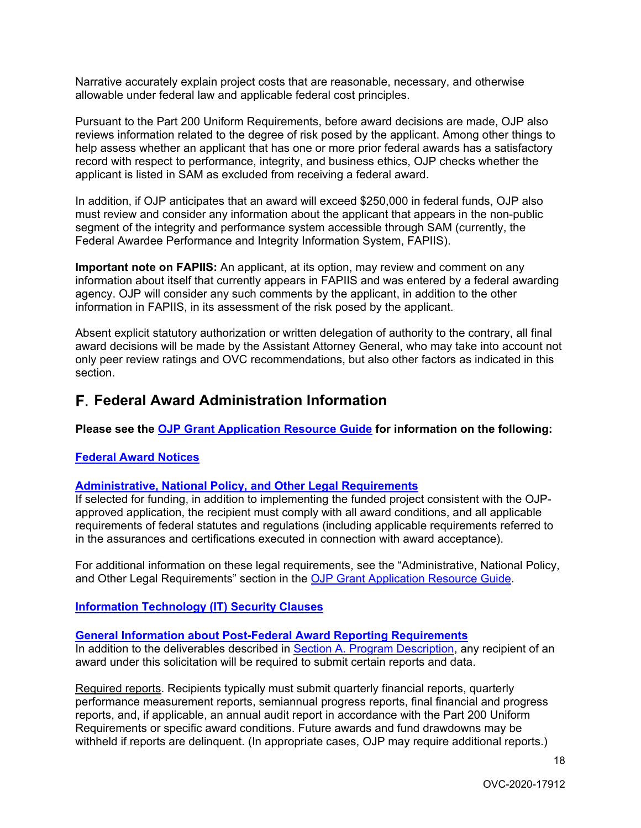Narrative accurately explain project costs that are reasonable, necessary, and otherwise allowable under federal law and applicable federal cost principles.

Pursuant to the Part 200 Uniform Requirements, before award decisions are made, OJP also reviews information related to the degree of risk posed by the applicant. Among other things to help assess whether an applicant that has one or more prior federal awards has a satisfactory record with respect to performance, integrity, and business ethics, OJP checks whether the applicant is listed in SAM as excluded from receiving a federal award.

In addition, if OJP anticipates that an award will exceed \$250,000 in federal funds, OJP also must review and consider any information about the applicant that appears in the non-public segment of the integrity and performance system accessible through SAM (currently, the Federal Awardee Performance and Integrity Information System, FAPIIS).

**Important note on FAPIIS:** An applicant, at its option, may review and comment on any information about itself that currently appears in FAPIIS and was entered by a federal awarding agency. OJP will consider any such comments by the applicant, in addition to the other information in FAPIIS, in its assessment of the risk posed by the applicant.

Absent explicit statutory authorization or written delegation of authority to the contrary, all final award decisions will be made by the Assistant Attorney General, who may take into account not only peer review ratings and OVC recommendations, but also other factors as indicated in this section.

# F. **Federal Award Administration Information**

# **Please see the [OJP Grant Application Resource Guide](https://ojp.gov/funding/Apply/Resources/Grant-App-Resource-Guide.htm) for information on the following:**

# <span id="page-17-0"></span>**[Federal Award Notices](https://www.ojp.gov/funding/Apply/Resources/Grant-App-Resource-Guide.htm#awardNotices)**

# <span id="page-17-1"></span>**[Administrative, National Policy, and Other Legal Requirements](https://www.ojp.gov/funding/Apply/Resources/Grant-App-Resource-Guide.htm#otherLegalRequirements)**

If selected for funding, in addition to implementing the funded project consistent with the OJPapproved application, the recipient must comply with all award conditions, and all applicable requirements of federal statutes and regulations (including applicable requirements referred to in the assurances and certifications executed in connection with award acceptance).

For additional information on these legal requirements, see the "Administrative, National Policy, and Other Legal Requirements" section in the [OJP Grant Application Resource Guide.](https://www.ojp.gov/funding/Apply/Resources/Grant-App-Resource-Guide.htm#otherLegalRequirements)

# <span id="page-17-2"></span>**[Information Technology \(IT\) Security Clauses](https://www.ojp.gov/funding/Apply/Resources/Grant-App-Resource-Guide.htm#securityClauses)**

# <span id="page-17-3"></span>**[General Information about Post-Federal Award Reporting Requirements](https://www.ojp.gov/funding/Apply/Resources/Grant-App-Resource-Guide.htm#awardReportingRequirements)**

In addition to the deliverables described in [Section A. Program Description,](#page-5-0) any recipient of an award under this solicitation will be required to submit certain reports and data.

Required reports. Recipients typically must submit quarterly financial reports, quarterly performance measurement reports, semiannual progress reports, final financial and progress reports, and, if applicable, an annual audit report in accordance with the Part 200 Uniform Requirements or specific award conditions. Future awards and fund drawdowns may be withheld if reports are delinquent. (In appropriate cases, OJP may require additional reports.)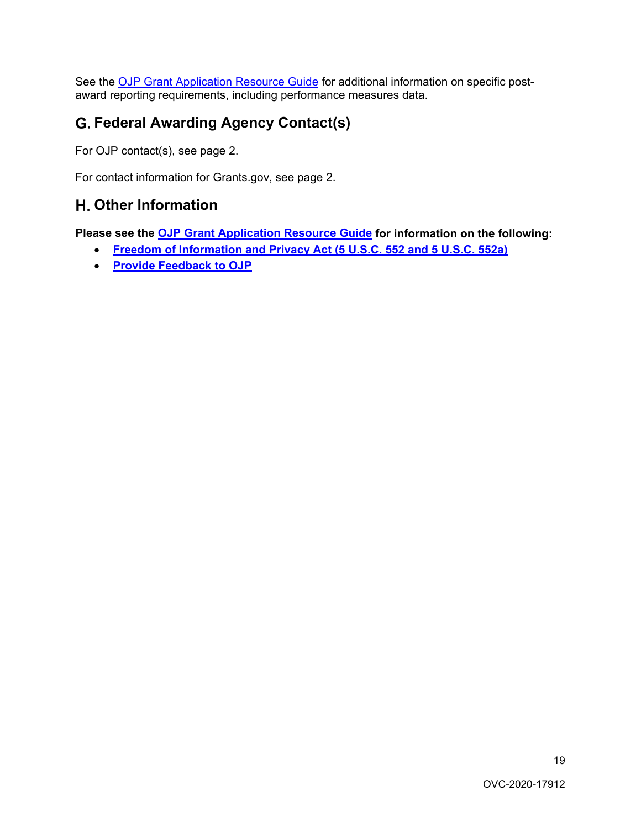See the [OJP Grant Application Resource Guide](https://www.ojp.gov/funding/Apply/Resources/Grant-App-Resource-Guide.htm#awardReportingRequirements) for additional information on specific postaward reporting requirements, including performance measures data.

# G. **Federal Awarding Agency Contact(s)**

For OJP contact(s), see page 2.

For contact information for Grants.gov, see page 2.

# H. **Other Information**

**Please see the [OJP Grant Application Resource Guide](https://ojp.gov/funding/Apply/Resources/Grant-App-Resource-Guide.htm) for information on the following:**

- <span id="page-18-0"></span>• **[Freedom of Information and Privacy Act \(5 U.S.C. 552 and 5 U.S.C. 552a\)](https://www.ojp.gov/funding/Apply/Resources/Grant-App-Resource-Guide.htm#foia)**
- <span id="page-18-1"></span>• **[Provide Feedback to OJP](https://www.ojp.gov/funding/Apply/Resources/Grant-App-Resource-Guide.htm#feedback)**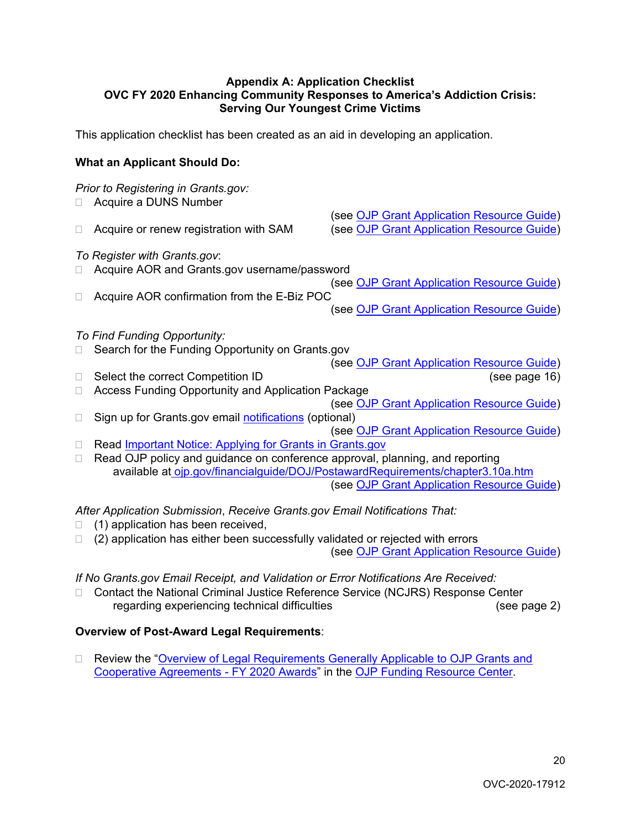#### <span id="page-19-0"></span>**Appendix A: Application Checklist OVC FY 2020 Enhancing Community Responses to America's Addiction Crisis: Serving Our Youngest Crime Victims**

This application checklist has been created as an aid in developing an application.

# **What an Applicant Should Do:**

# *Prior to Registering in Grants.gov:* □ Acquire a DUNS Number (see [OJP Grant Application Resource Guide\)](https://www.ojp.gov/funding/Apply/Resources/Grant-App-Resource-Guide.htm#howToApply) □ Acquire or renew registration with SAM (see [OJP Grant Application Resource Guide\)](https://www.ojp.gov/funding/Apply/Resources/Grant-App-Resource-Guide.htm#howToApply) *To Register with Grants.gov*: □ Acquire AOR and Grants.gov username/password (see [OJP Grant Application Resource Guide\)](https://www.ojp.gov/funding/Apply/Resources/Grant-App-Resource-Guide.htm#howToApply) □ Acquire AOR confirmation from the E-Biz POC (see [OJP Grant Application Resource Guide\)](https://www.ojp.gov/funding/Apply/Resources/Grant-App-Resource-Guide.htm#howToApply) *To Find Funding Opportunity:* □ Search for the Funding Opportunity on Grants.gov (see [OJP Grant Application Resource Guide\)](https://www.ojp.gov/funding/Apply/Resources/Grant-App-Resource-Guide.htm#howToApply) Select the correct Competition ID(see page 16) □ Access Funding Opportunity and Application Package (see [OJP Grant Application Resource Guide\)](https://www.ojp.gov/funding/Apply/Resources/Grant-App-Resource-Guide.htm#howToApply)  $\Box$  Sign up for Grants.gov email [notifications](https://www.grants.gov/web/grants/manage-subscriptions.html) (optional) (see [OJP Grant Application Resource Guide\)](https://www.ojp.gov/funding/Apply/Resources/Grant-App-Resource-Guide.htm#howToApply) □ Read [Important Notice: Applying for Grants in Grants.gov](https://ojp.gov/funding/Apply/Grants-govInfo.htm) □ Read OJP policy and guidance on conference approval, planning, and reporting available at [ojp.gov/financialguide/DOJ/PostawardRequirements/chapter3.10a.htm](https://ojp.gov/financialguide/DOJ/PostawardRequirements/chapter3.10a.htm)  (see [OJP Grant Application Resource Guide\)](https://www.ojp.gov/funding/Apply/Resources/Grant-App-Resource-Guide.htm#reportingCosts)

*After Application Submission*, *Receive Grants.gov Email Notifications That:*

- $\Box$  (1) application has been received,
- $\Box$  (2) application has either been successfully validated or rejected with errors
	- (see [OJP Grant Application Resource Guide\)](https://www.ojp.gov/funding/Apply/Resources/Grant-App-Resource-Guide.htm#submissionSteps)

# *If No Grants.gov Email Receipt, and Validation or Error Notifications Are Received:*

□ Contact the National Criminal Justice Reference Service (NCJRS) Response Center regarding experiencing technical difficulties (see page 2)

# **Overview of Post-Award Legal Requirements**:

□ Review the "Overview of Legal Requirements Generally Applicable to OJP Grants and [Cooperative Agreements - FY 2020 Awards"](https://www.ojp.gov/funding/Explore/LegalOverview2020/index.htm) in the [OJP Funding Resource Center.](https://www.ojp.gov/funding/index.htm)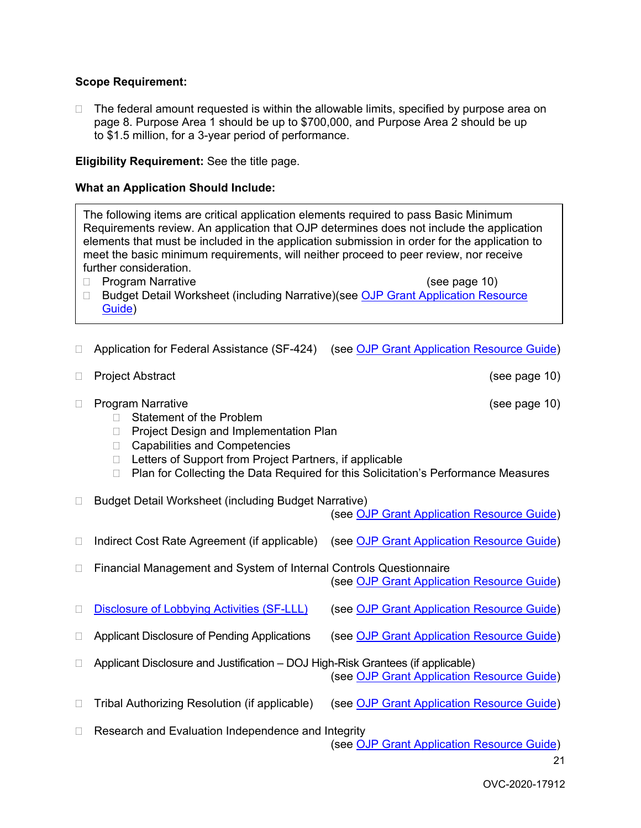#### **Scope Requirement:**

 $\Box$  The federal amount requested is within the allowable limits, specified by purpose area on page 8. Purpose Area 1 should be up to \$700,000, and Purpose Area 2 should be up to \$1.5 million, for a 3-year period of performance.

**Eligibility Requirement:** See the title page.

#### **What an Application Should Include:**

The following items are critical application elements required to pass Basic Minimum Requirements review. An application that OJP determines does not include the application elements that must be included in the application submission in order for the application to meet the basic minimum requirements, will neither proceed to peer review, nor receive further consideration.

□ Program Narrative (see page 10)

- □ Budget Detail Worksheet (including Narrative)(see OJP Grant Application Resource [Guide\)](https://www.ojp.gov/funding/Apply/Resources/Grant-App-Resource-Guide.htm#budgetInfo)
- □ Application for Federal Assistance (SF-424) (see [OJP Grant Application Resource Guide\)](https://www.ojp.gov/funding/Apply/Resources/Grant-App-Resource-Guide.htm#completeApplication)
- □ Project Abstract and the set of the set of the set of the set of the set of the set of the set of the set of the set of the set of the set of the set of the set of the set of the set of the set of the set of the set of
- □ Program Narrative (see page 10)
	- □ Statement of the Problem
	- □ Project Design and Implementation Plan
	- □ Capabilities and Competencies
	- □ Letters of Support from Project Partners, if applicable
	- □ Plan for Collecting the Data Required for this Solicitation's Performance Measures
- □ Budget Detail Worksheet (including Budget Narrative)
	- (see [OJP Grant Application Resource Guide\)](hhttps://www.ojp.gov/funding/Apply/Resources/Grant-App-Resource-Guide.htm#budgetInfo)
- □ Indirect Cost Rate Agreement (if applicable) (see [OJP Grant Application Resource Guide\)](https://www.ojp.gov/funding/Apply/Resources/Grant-App-Resource-Guide.htm#indirectCosts)
- □ Financial Management and System of Internal Controls Questionnaire

(see [OJP Grant Application Resource Guide\)](https://www.ojp.gov/funding/Apply/Resources/Grant-App-Resource-Guide.htm#internalControlsQuestionnaire)

- □ [Disclosure of Lobbying Activities \(SF-LLL\)](https://ojp.gov/funding/Apply/Resources/Disclosure.pdf) (see [OJP Grant Application Resource Guide\)](https://www.ojp.gov/funding/Apply/Resources/Grant-App-Resource-Guide.htm#lobbyingActivity)
- □ Applicant Disclosure of Pending Applications (see [OJP Grant Application Resource Guide\)](https://www.ojp.gov/funding/Apply/Resources/Grant-App-Resource-Guide.htm#applicantDisclosure)
- □ Applicant Disclosure and Justification DOJ High-Risk Grantees (if applicable) (see [OJP Grant Application Resource Guide\)](https://www.ojp.gov/funding/Apply/Resources/Grant-App-Resource-Guide.htm#applicantDisclosureHR)
- □ Tribal Authorizing Resolution (if applicable) (see [OJP Grant Application Resource Guide\)](https://www.ojp.gov/funding/Apply/Resources/Grant-App-Resource-Guide.htm#tribalAuthorizing)

 $\Box$  Research and Evaluation Independence and Integrity

(see [OJP Grant Application Resource Guide\)](https://www.ojp.gov/funding/Apply/Resources/Grant-App-Resource-Guide.htm#researchAndEvaluation)